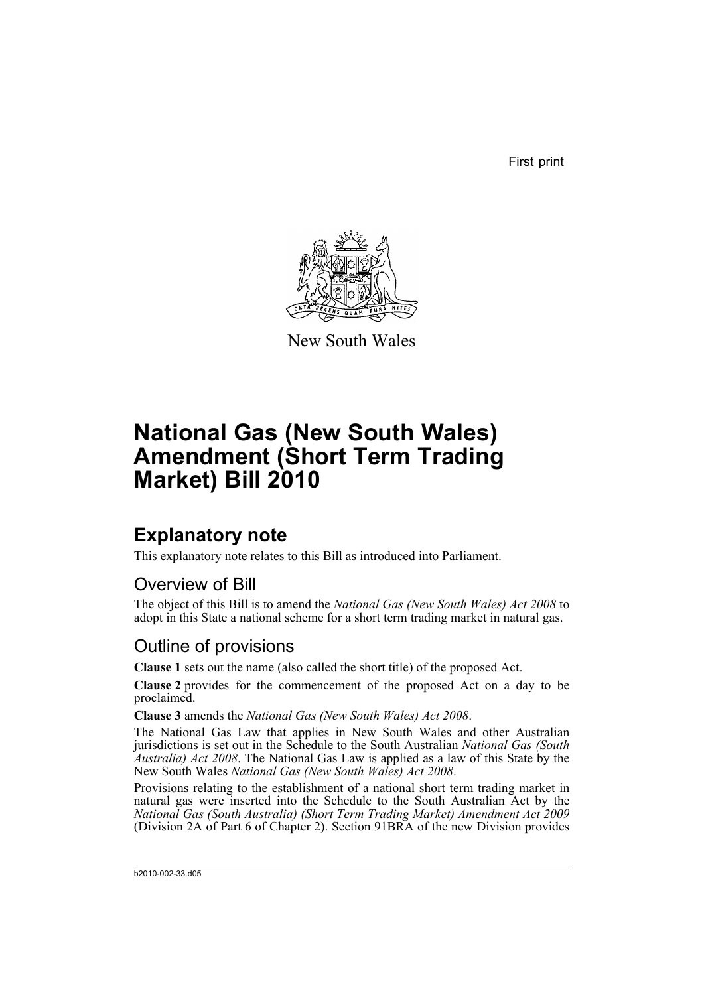First print



New South Wales

# **National Gas (New South Wales) Amendment (Short Term Trading Market) Bill 2010**

## **Explanatory note**

This explanatory note relates to this Bill as introduced into Parliament.

#### Overview of Bill

The object of this Bill is to amend the *National Gas (New South Wales) Act 2008* to adopt in this State a national scheme for a short term trading market in natural gas.

#### Outline of provisions

**Clause 1** sets out the name (also called the short title) of the proposed Act.

**Clause 2** provides for the commencement of the proposed Act on a day to be proclaimed.

**Clause 3** amends the *National Gas (New South Wales) Act 2008*.

The National Gas Law that applies in New South Wales and other Australian jurisdictions is set out in the Schedule to the South Australian *National Gas (South Australia) Act 2008*. The National Gas Law is applied as a law of this State by the New South Wales *National Gas (New South Wales) Act 2008*.

Provisions relating to the establishment of a national short term trading market in natural gas were inserted into the Schedule to the South Australian Act by the *National Gas (South Australia) (Short Term Trading Market) Amendment Act 2009* (Division 2A of Part 6 of Chapter 2). Section 91BRA of the new Division provides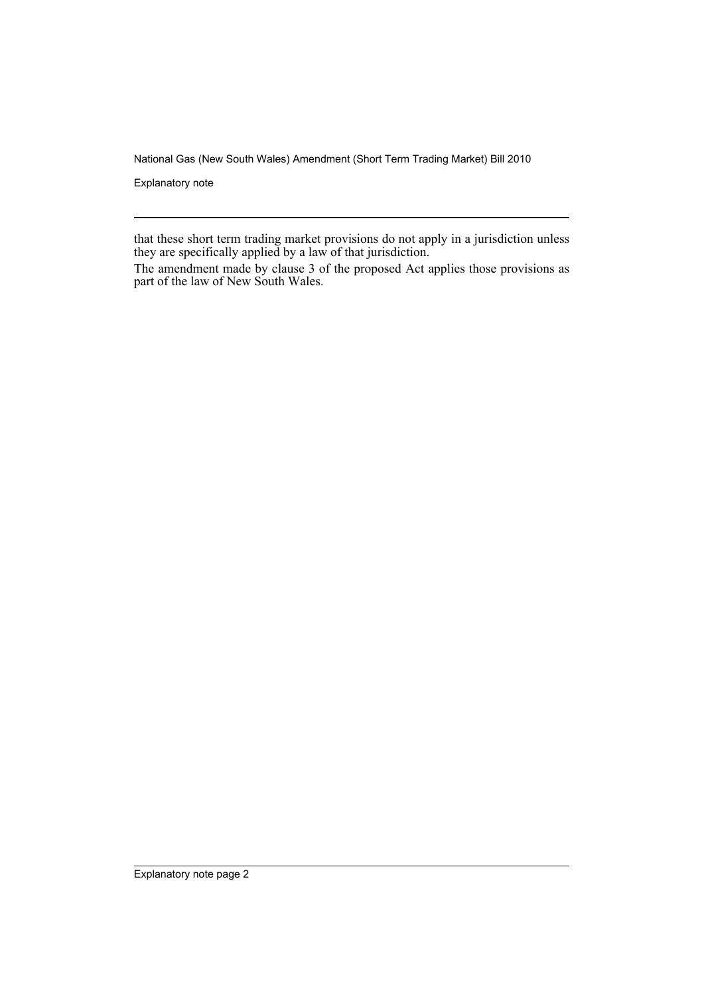National Gas (New South Wales) Amendment (Short Term Trading Market) Bill 2010

Explanatory note

that these short term trading market provisions do not apply in a jurisdiction unless they are specifically applied by a law of that jurisdiction.

The amendment made by clause 3 of the proposed Act applies those provisions as part of the law of New South Wales.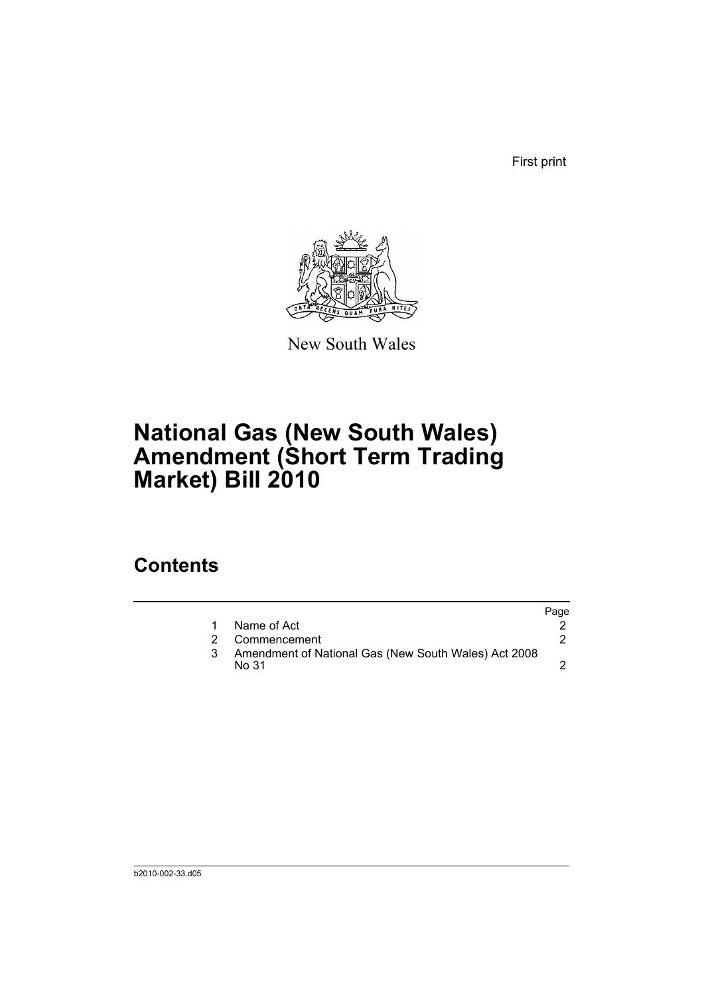First print



New South Wales

# **National Gas (New South Wales) Amendment (Short Term Trading Market) Bill 2010**

## **Contents**

|                                                               | Page |
|---------------------------------------------------------------|------|
| Name of Act                                                   |      |
| Commencement                                                  |      |
| Amendment of National Gas (New South Wales) Act 2008<br>No 31 |      |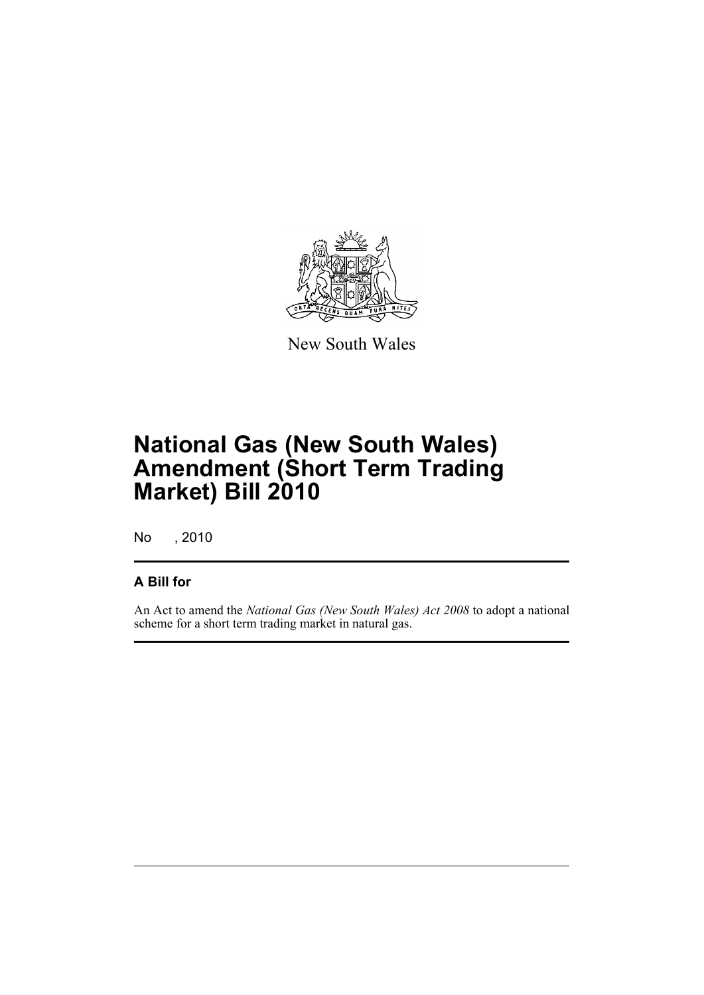

New South Wales

# **National Gas (New South Wales) Amendment (Short Term Trading Market) Bill 2010**

No , 2010

#### **A Bill for**

An Act to amend the *National Gas (New South Wales) Act 2008* to adopt a national scheme for a short term trading market in natural gas.